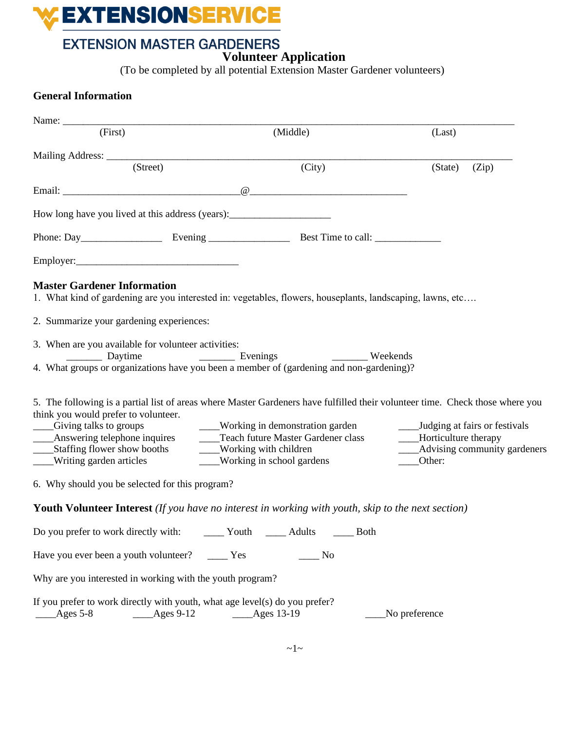

**Volunteer Application**

(To be completed by all potential Extension Master Gardener volunteers)

## **General Information**

| Name: $\frac{1}{\sqrt{1-\frac{1}{2}}\cdot\frac{1}{\sqrt{1-\frac{1}{2}}}}$                                                                                                                                   |                          |                                                                                                                                                                                                                                                                                                                                                                                                                                                                                                   |               |                          |                                    |
|-------------------------------------------------------------------------------------------------------------------------------------------------------------------------------------------------------------|--------------------------|---------------------------------------------------------------------------------------------------------------------------------------------------------------------------------------------------------------------------------------------------------------------------------------------------------------------------------------------------------------------------------------------------------------------------------------------------------------------------------------------------|---------------|--------------------------|------------------------------------|
| (First)                                                                                                                                                                                                     |                          | (Middle)                                                                                                                                                                                                                                                                                                                                                                                                                                                                                          |               | (Last)                   |                                    |
|                                                                                                                                                                                                             |                          |                                                                                                                                                                                                                                                                                                                                                                                                                                                                                                   |               |                          |                                    |
|                                                                                                                                                                                                             | (Street)                 | (City)                                                                                                                                                                                                                                                                                                                                                                                                                                                                                            |               | (State)                  | (Zip)                              |
|                                                                                                                                                                                                             |                          | $\overline{a}$                                                                                                                                                                                                                                                                                                                                                                                                                                                                                    |               |                          |                                    |
| How long have you lived at this address (years): ________________________________                                                                                                                           |                          |                                                                                                                                                                                                                                                                                                                                                                                                                                                                                                   |               |                          |                                    |
|                                                                                                                                                                                                             |                          |                                                                                                                                                                                                                                                                                                                                                                                                                                                                                                   |               |                          |                                    |
|                                                                                                                                                                                                             |                          |                                                                                                                                                                                                                                                                                                                                                                                                                                                                                                   |               |                          |                                    |
| <b>Master Gardener Information</b><br>2. Summarize your gardening experiences:<br>3. When are you available for volunteer activities:<br>think you would prefer to volunteer.<br>____Giving talks to groups |                          | 1. What kind of gardening are you interested in: vegetables, flowers, houseplants, landscaping, lawns, etc<br>___________ Daytime ________________ Evenings __________________ Weekends<br>4. What groups or organizations have you been a member of (gardening and non-gardening)?<br>5. The following is a partial list of areas where Master Gardeners have fulfilled their volunteer time. Check those where you<br>____Working in demonstration garden<br>Teach future Master Gardener class |               | ____Horticulture therapy | _____Judging at fairs or festivals |
| Answering telephone inquires<br>Staffing flower show booths<br>Writing garden articles                                                                                                                      |                          | ___Working with children<br>___Working in school gardens                                                                                                                                                                                                                                                                                                                                                                                                                                          |               | Other:                   | __Advising community gardeners     |
| 6. Why should you be selected for this program?                                                                                                                                                             |                          |                                                                                                                                                                                                                                                                                                                                                                                                                                                                                                   |               |                          |                                    |
|                                                                                                                                                                                                             |                          | <b>Youth Volunteer Interest</b> (If you have no interest in working with youth, skip to the next section)                                                                                                                                                                                                                                                                                                                                                                                         |               |                          |                                    |
| Do you prefer to work directly with:                                                                                                                                                                        |                          | _____ Youth ______ Adults<br><b>Both</b>                                                                                                                                                                                                                                                                                                                                                                                                                                                          |               |                          |                                    |
| Have you ever been a youth volunteer?                                                                                                                                                                       | $\frac{1}{1}$ Yes        | $\rule{1em}{0.15mm}$ No                                                                                                                                                                                                                                                                                                                                                                                                                                                                           |               |                          |                                    |
| Why are you interested in working with the youth program?                                                                                                                                                   |                          |                                                                                                                                                                                                                                                                                                                                                                                                                                                                                                   |               |                          |                                    |
| If you prefer to work directly with youth, what age level(s) do you prefer?<br>Ages $5-8$                                                                                                                   | $\_\_\_\_\_\_\_\_\$ 9-12 | ____Ages 13-19                                                                                                                                                                                                                                                                                                                                                                                                                                                                                    | No preference |                          |                                    |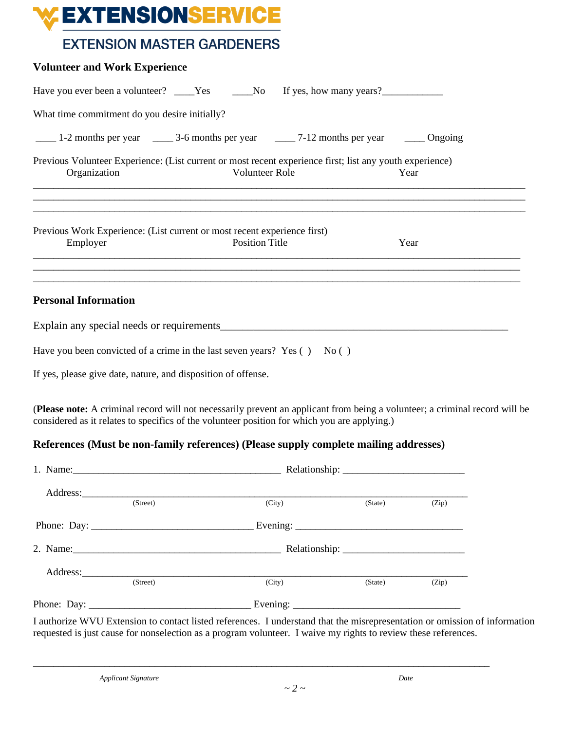# **EXTENSIONSERVICE**

# **EXTENSION MASTER GARDENERS**

| <b>Volunteer and Work Experience</b>                                                                                                                                                                                                                         |                       |      |
|--------------------------------------------------------------------------------------------------------------------------------------------------------------------------------------------------------------------------------------------------------------|-----------------------|------|
| Have you ever been a volunteer? _____Yes _______No If yes, how many years?                                                                                                                                                                                   |                       |      |
| What time commitment do you desire initially?                                                                                                                                                                                                                |                       |      |
|                                                                                                                                                                                                                                                              |                       |      |
| Previous Volunteer Experience: (List current or most recent experience first; list any youth experience)                                                                                                                                                     |                       |      |
| Organization                                                                                                                                                                                                                                                 | <b>Volunteer Role</b> | Year |
| Previous Work Experience: (List current or most recent experience first)<br>Employer<br>,我们就会在这里的,我们就会在这里的,我们就会在这里的,我们就会在这里的时候,我们就会在这里,我们就会在这里的时候,我们就会在这里的时候,我们就会在这里的时候,<br>第2012章 我们的时候,我们就会在这里的时候,我们就会在这里的时候,我们就会在这里的时候,我们就会在这里的时候,我们就会在这里的时候,我们就会在这里的时候,我 | <b>Position Title</b> | Year |
| <b>Personal Information</b>                                                                                                                                                                                                                                  |                       |      |
|                                                                                                                                                                                                                                                              |                       |      |
| Have you been convicted of a crime in the last seven years? Yes $( )$ No $( )$                                                                                                                                                                               |                       |      |

If yes, please give date, nature, and disposition of offense.

(**Please note:** A criminal record will not necessarily prevent an applicant from being a volunteer; a criminal record will be considered as it relates to specifics of the volunteer position for which you are applying.)

### **References (Must be non-family references) (Please supply complete mailing addresses)**

| (Street) | (City) | (State) | (Zip) |  |
|----------|--------|---------|-------|--|
|          |        |         |       |  |
|          |        |         |       |  |
| (Street) | (City) | (State) | (Zip) |  |
|          |        |         |       |  |

I authorize WVU Extension to contact listed references. I understand that the misrepresentation or omission of information requested is just cause for nonselection as a program volunteer. I waive my rights to review these references.

\_\_\_\_\_\_\_\_\_\_\_\_\_\_\_\_\_\_\_\_\_\_\_\_\_\_\_\_\_\_\_\_\_\_\_\_\_\_\_\_\_\_\_\_\_\_\_\_\_\_\_\_\_\_\_\_\_\_\_\_\_\_\_\_\_\_\_\_\_\_\_\_\_\_\_\_\_\_\_\_\_\_\_\_\_\_\_\_\_\_